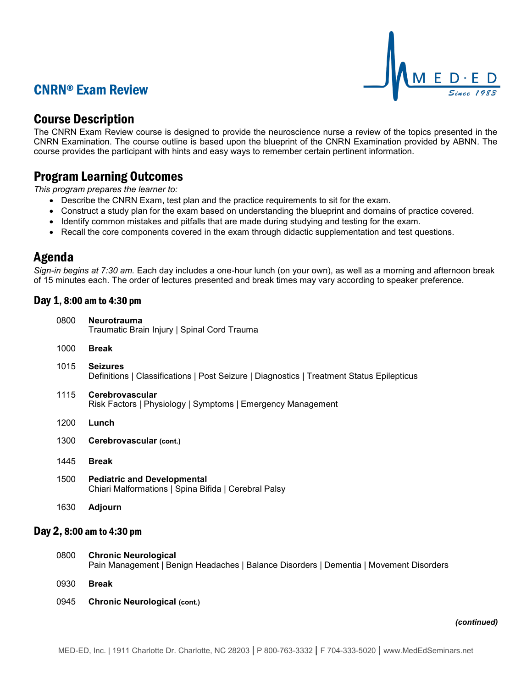# CNRN® Exam Review



## Course Description

The CNRN Exam Review course is designed to provide the neuroscience nurse a review of the topics presented in the CNRN Examination. The course outline is based upon the blueprint of the CNRN Examination provided by ABNN. The course provides the participant with hints and easy ways to remember certain pertinent information.

## Program Learning Outcomes

*This program prepares the learner to:*

- Describe the CNRN Exam, test plan and the practice requirements to sit for the exam.
- Construct a study plan for the exam based on understanding the blueprint and domains of practice covered.
- Identify common mistakes and pitfalls that are made during studying and testing for the exam.
- Recall the core components covered in the exam through didactic supplementation and test questions.

### Agenda

*Sign-in begins at 7:30 am.* Each day includes a one-hour lunch (on your own), as well as a morning and afternoon break of 15 minutes each. The order of lectures presented and break times may vary according to speaker preference.

### Day 1, 8:00 am to 4:30 pm

| 0800                      | <b>Neurotrauma</b><br>Traumatic Brain Injury   Spinal Cord Trauma                                            |  |
|---------------------------|--------------------------------------------------------------------------------------------------------------|--|
| 1000                      | <b>Break</b>                                                                                                 |  |
| 1015                      | <b>Seizures</b><br>Definitions   Classifications   Post Seizure   Diagnostics   Treatment Status Epilepticus |  |
| 1115                      | Cerebrovascular<br>Risk Factors   Physiology   Symptoms   Emergency Management                               |  |
| 1200                      | Lunch                                                                                                        |  |
| 1300                      | Cerebrovascular (cont.)                                                                                      |  |
| 1445                      | <b>Break</b>                                                                                                 |  |
| 1500                      | <b>Pediatric and Developmental</b><br>Chiari Malformations   Spina Bifida   Cerebral Palsy                   |  |
| 1630                      | <b>Adjourn</b>                                                                                               |  |
| Day 2, 8:00 am to 4:30 pm |                                                                                                              |  |

- 0800 **Chronic Neurological** Pain Management | Benign Headaches | Balance Disorders | Dementia | Movement Disorders
- 0930 **Break**
- 0945 **Chronic Neurological (cont.)**

#### *(continued)*